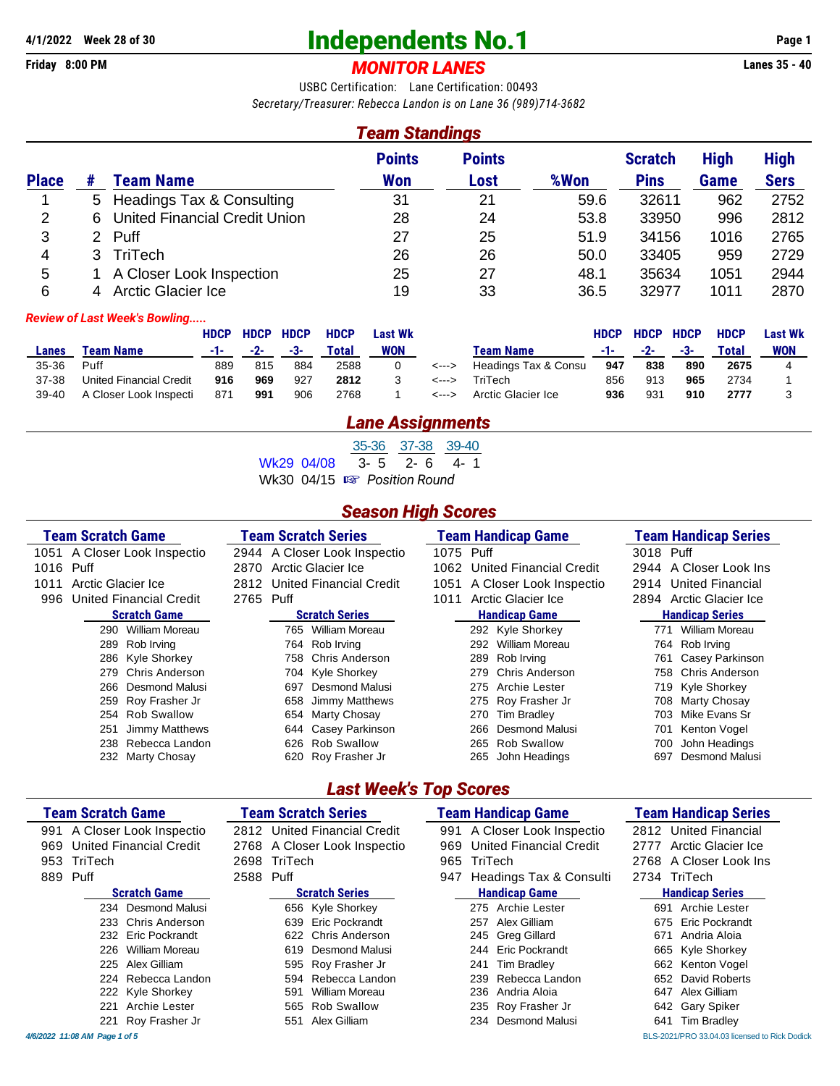# **4/1/2022** Week 28 of 30<br> **Finday 8:00 PM**<br> **Example 28 of 30 Independents No.1 Page 1 Page 1 Page 1 Page 1 Page 1 Page 1 Page 1 Page 1 Page 1 Page 1 Page 1 Page 1 Page 1 Page 1 Page 1 Pag**

## Friday 8:00 PM **MONITOR LANES**

USBC Certification: Lane Certification: 00493 *Secretary/Treasurer: Rebecca Landon is on Lane 36 (989)714-3682*

### *Team Standings*

|              |   |                                      | <b>Points</b> | <b>Points</b> |      | <b>Scratch</b> | <b>High</b> | <b>High</b> |
|--------------|---|--------------------------------------|---------------|---------------|------|----------------|-------------|-------------|
| <b>Place</b> |   | Team Name                            | Won           | Lost          | %Won | <b>Pins</b>    | Game        | <b>Sers</b> |
|              |   | 5 Headings Tax & Consulting          | 31            | 21            | 59.6 | 32611          | 962         | 2752        |
| 2            | 6 | <b>United Financial Credit Union</b> | 28            | 24            | 53.8 | 33950          | 996         | 2812        |
| 3            |   | 2 Puff                               | 27            | 25            | 51.9 | 34156          | 1016        | 2765        |
| 4            |   | <b>TriTech</b>                       | 26            | 26            | 50.0 | 33405          | 959         | 2729        |
| 5            |   | A Closer Look Inspection             | 25            | 27            | 48.1 | 35634          | 1051        | 2944        |
| 6            |   | <b>Arctic Glacier Ice</b>            | 19            | 33            | 36.5 | 32977          | 1011        | 2870        |

#### *Review of Last Week's Bowling.....*

|         |                         | <b>HDCP</b> | <b>HDCP</b> | <b>HDCP</b> | <b>HDCP</b> | <b>Last Wk</b> |                            |                      | <b>HDCP</b> | <b>HDCP</b> | <b>HDCP</b> | <b>HDCP</b> | <b>Last Wk</b> |
|---------|-------------------------|-------------|-------------|-------------|-------------|----------------|----------------------------|----------------------|-------------|-------------|-------------|-------------|----------------|
| Lanes   | Team Name               |             | $-2-$       | -3-         | Total       | <b>WON</b>     |                            | Team Name            | -1-         | $-2-$       | -3-         | Total       | <b>WON</b>     |
| 35-36   | Puff                    | 889         | 815         | 884         | 2588        |                | $\leftarrow$ $\rightarrow$ | Headings Tax & Consu | 947         | 838         | 890         | 2675        |                |
| 37-38   | United Financial Credit | 916         | 969         | 927         | 2812        |                | <--->                      | TriTech              | 856         | 913         | 965         | 2734        |                |
| $39-40$ | A Closer Look Inspecti  | 871         | 991         | 906         | 2768        |                | <--->                      | Arctic Glacier Ice   | 936         | 931         | 910         | 2777        |                |

#### *Lane Assignments*

35-36 37-38 39-40

Wk29 04/08  $\overline{3}$ - 5  $\overline{2}$ - 6  $\overline{4}$ - 1

Wk30 04/15 **<b>a** Position Round

### *Season High Scores*

| <b>Team Scratch Game</b>       | <b>Team Scratch Series</b>   | Team Handicap Game      | <b>Team Handicap Series</b> |  |  |  |
|--------------------------------|------------------------------|-------------------------|-----------------------------|--|--|--|
| 1051 A Closer Look Inspectio   | 2944 A Closer Look Inspectio | Puff<br>1075            | 3018 Puff                   |  |  |  |
| Puff                           | Arctic Glacier Ice           | United Financial Credit | 2944 A Closer Look Ins      |  |  |  |
| 1016                           | 2870                         | 1062                    |                             |  |  |  |
| Arctic Glacier Ice             | 2812 United Financial Credit | A Closer Look Inspectio | <b>United Financial</b>     |  |  |  |
| 1011                           |                              | 1051                    | 2914                        |  |  |  |
| <b>United Financial Credit</b> | 2765                         | Arctic Glacier Ice      | Arctic Glacier Ice          |  |  |  |
| 996                            | Puff                         | 1011                    | 2894                        |  |  |  |
| <b>Scratch Game</b>            | <b>Scratch Series</b>        | <b>Handicap Game</b>    | <b>Handicap Series</b>      |  |  |  |
| 290 William Moreau             | William Moreau<br>765        | 292 Kyle Shorkey        | William Moreau<br>771       |  |  |  |
| Rob Irving                     | Rob Irving                   | William Moreau          | Rob Irving                  |  |  |  |
| 289                            | 764                          | 292                     | 764.                        |  |  |  |
| 286 Kyle Shorkey               | Chris Anderson               | Rob Irving              | Casey Parkinson             |  |  |  |
|                                | 758                          | 289                     | 761                         |  |  |  |
| Chris Anderson<br>279          | 704 Kyle Shorkey             | Chris Anderson<br>279   | 758 Chris Anderson          |  |  |  |
| 266 Desmond Malusi             | Desmond Malusi<br>697        | Archie Lester<br>275    | 719 Kyle Shorkey            |  |  |  |
| 259 Roy Frasher Jr             | Jimmy Matthews<br>658        | 275 Roy Frasher Jr      | Marty Chosay<br>708         |  |  |  |
| <b>Rob Swallow</b>             | Marty Chosay                 | Tim Bradley             | Mike Evans Sr               |  |  |  |
| 254                            | 654                          | 270                     | 703                         |  |  |  |
| Jimmy Matthews                 | Casey Parkinson              | Desmond Malusi          | Kenton Vogel                |  |  |  |
| 251                            | 644                          | 266                     | 701                         |  |  |  |
| Rebecca Landon                 | Rob Swallow                  | <b>Rob Swallow</b>      | John Headings               |  |  |  |
| 238                            | 626                          | 265                     | 700                         |  |  |  |
| 232 Marty Chosay               | Roy Frasher Jr               | John Headings           | Desmond Malusi              |  |  |  |
|                                | 620                          | 265                     | 697                         |  |  |  |

## *Last Week's Top Scores*

| <b>Team Scratch Game</b>       | <b>Team Scratch Series</b>     | <b>Team Handicap Game</b>      | <b>Team Handicap Series</b> |
|--------------------------------|--------------------------------|--------------------------------|-----------------------------|
| 991 A Closer Look Inspectio    | <b>United Financial Credit</b> | A Closer Look Inspectio        | <b>United Financial</b>     |
|                                | 2812                           | 991                            | 2812                        |
| <b>United Financial Credit</b> | 2768 A Closer Look Inspectio   | <b>United Financial Credit</b> | Arctic Glacier Ice          |
| 969                            |                                | 969                            | 2777                        |
| TriTech                        | TriTech                        | TriTech                        | A Closer Look Ins           |
| 953                            | 2698                           | 965                            | 2768                        |
| 889 Puff                       | Puff<br>2588                   | Headings Tax & Consulti<br>947 | 2734 TriTech                |
| <b>Scratch Game</b>            | <b>Scratch Series</b>          | <b>Handicap Game</b>           | <b>Handicap Series</b>      |
| 234 Desmond Malusi             | 656 Kyle Shorkey               | 275 Archie Lester              | Archie Lester<br>691        |
| Chris Anderson                 | <b>Eric Pockrandt</b>          | Alex Gilliam                   | <b>Eric Pockrandt</b>       |
| 233                            | 639                            | 257                            | 675                         |
| 232 Eric Pockrandt             | Chris Anderson                 | Greg Gillard                   | Andria Aloia                |
|                                | 622                            | 245                            | 671                         |
| William Moreau<br>226          | Desmond Malusi<br>619          | 244 Eric Pockrandt             | 665 Kyle Shorkey            |
| 225 Alex Gilliam               | 595 Roy Frasher Jr             | <b>Tim Bradley</b><br>241      | Kenton Vogel<br>662         |
| Rebecca Landon                 | Rebecca Landon                 | Rebecca Landon                 | David Roberts               |
| 224                            | 594                            | 239                            | 652                         |
| 222 Kyle Shorkey               | William Moreau                 | Andria Aloia                   | Alex Gilliam                |
|                                | 591                            | 236                            | 647                         |
| Archie Lester<br>221           | 565 Rob Swallow                | 235 Roy Frasher Jr             | 642 Gary Spiker             |
| Roy Frasher Jr                 | Alex Gilliam                   | Desmond Malusi                 | <b>Tim Bradley</b>          |
| 221                            | 551                            | 234                            | 641                         |

*4/6/2022 11:08 AM Page 1 of 5* BLS-2021/PRO 33.04.03 licensed to Rick Dodick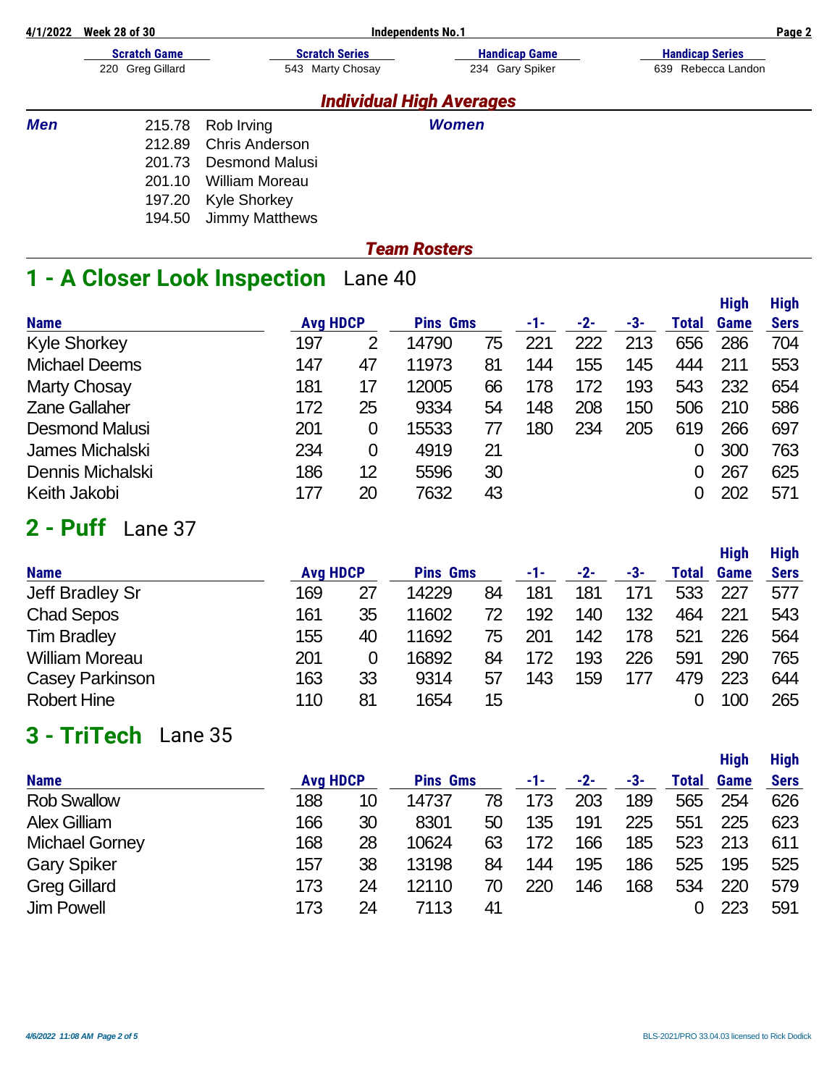| 4/1/2022   | <b>Week 28 of 30</b> | <b>Independents No.1</b> |                                 |                        |  |  |  |  |  |
|------------|----------------------|--------------------------|---------------------------------|------------------------|--|--|--|--|--|
|            | <b>Scratch Game</b>  | <b>Scratch Series</b>    | <b>Handicap Game</b>            | <b>Handicap Series</b> |  |  |  |  |  |
|            | 220 Greg Gillard     | 543 Marty Chosay         | 234 Gary Spiker                 | Rebecca Landon<br>639  |  |  |  |  |  |
|            |                      |                          | <b>Individual High Averages</b> |                        |  |  |  |  |  |
| <b>Men</b> | 215.78               | Rob Irving               | <b>Women</b>                    |                        |  |  |  |  |  |
|            | 212.89               | <b>Chris Anderson</b>    |                                 |                        |  |  |  |  |  |
|            | 201.73               | Desmond Malusi           |                                 |                        |  |  |  |  |  |
|            | 201.10               | William Moreau           |                                 |                        |  |  |  |  |  |
|            | 197.20               | <b>Kyle Shorkey</b>      |                                 |                        |  |  |  |  |  |
|            | 194.50               | <b>Jimmy Matthews</b>    |                                 |                        |  |  |  |  |  |

### *Team Rosters*

# **1 - A Closer Look Inspection** Lane 40

|                       |                 |    |                 |    |     |       |     |       | <b>High</b> | <b>High</b> |
|-----------------------|-----------------|----|-----------------|----|-----|-------|-----|-------|-------------|-------------|
| <b>Name</b>           | <b>Avg HDCP</b> |    | <b>Pins Gms</b> |    | -1- | $-2-$ | -3- | Total | Game        | <b>Sers</b> |
| <b>Kyle Shorkey</b>   | 197             | 2  | 14790           | 75 | 221 | 222   | 213 | 656   | 286         | 704         |
| <b>Michael Deems</b>  | 147             | 47 | 11973           | 81 | 144 | 155   | 145 | 444   | 211         | 553         |
| <b>Marty Chosay</b>   | 181             | 17 | 12005           | 66 | 178 | 172   | 193 | 543   | 232         | 654         |
| <b>Zane Gallaher</b>  | 172             | 25 | 9334            | 54 | 148 | 208   | 150 | 506   | 210         | 586         |
| <b>Desmond Malusi</b> | 201             | 0  | 15533           |    | 180 | 234   | 205 | 619   | 266         | 697         |
| James Michalski       | 234             | 0  | 4919            | 21 |     |       |     |       | 300         | 763         |
| Dennis Michalski      | 186             | 12 | 5596            | 30 |     |       |     | 0     | 267         | 625         |
| Keith Jakobi          | 177             | 20 | 7632            | 43 |     |       |     |       | 202         | 571         |

# **2 - Puff** Lane 37

| <b>Name</b>            | <b>Avg HDCP</b> |    | <b>Pins Gms</b> |    | -1- | $-2-$ | -3- | Total | <b>High</b><br><b>Game</b> | <b>High</b><br><b>Sers</b> |
|------------------------|-----------------|----|-----------------|----|-----|-------|-----|-------|----------------------------|----------------------------|
| Jeff Bradley Sr        | 169             | 27 | 14229           | 84 | 181 | 181   | 171 | 533   | 227                        | 577                        |
| <b>Chad Sepos</b>      | 161             | 35 | 11602           | 72 | 192 | 140   | 132 | 464   | 221                        | 543                        |
| <b>Tim Bradley</b>     | 155             | 40 | 11692           | 75 | 201 | 142   | 178 | 521   | 226                        | 564                        |
| <b>William Moreau</b>  | 201             | 0  | 16892           | 84 | 172 | 193   | 226 | 591   | 290                        | 765                        |
| <b>Casey Parkinson</b> | 163             | 33 | 9314            | 57 | 143 | 159   | 177 | 479   | 223                        | 644                        |
| <b>Robert Hine</b>     | 110             | 81 | 1654            | 15 |     |       |     |       | 100                        | 265                        |

# **3 - TriTech** Lane 35

|                       |                 |    |                 |    |     |       |     |       | <b>High</b> | <b>High</b> |
|-----------------------|-----------------|----|-----------------|----|-----|-------|-----|-------|-------------|-------------|
| <b>Name</b>           | <b>Avg HDCP</b> |    | <b>Pins Gms</b> |    | -1- | $-2-$ | -3- | Total | <b>Game</b> | <b>Sers</b> |
| <b>Rob Swallow</b>    | 188             | 10 | 14737           | 78 | 173 | 203   | 189 | 565   | 254         | 626         |
| <b>Alex Gilliam</b>   | 166             | 30 | 8301            | 50 | 135 | 191   | 225 | 551   | 225         | 623         |
| <b>Michael Gorney</b> | 168             | 28 | 10624           | 63 | 172 | 166   | 185 | 523   | 213         | 611         |
| <b>Gary Spiker</b>    | 157             | 38 | 13198           | 84 | 144 | 195   | 186 | 525   | 195         | 525         |
| <b>Greg Gillard</b>   | 173             | 24 | 12110           | 70 | 220 | 146   | 168 | 534   | 220         | 579         |
| <b>Jim Powell</b>     | 173             | 24 | 7113            | 41 |     |       |     |       | 223         | 591         |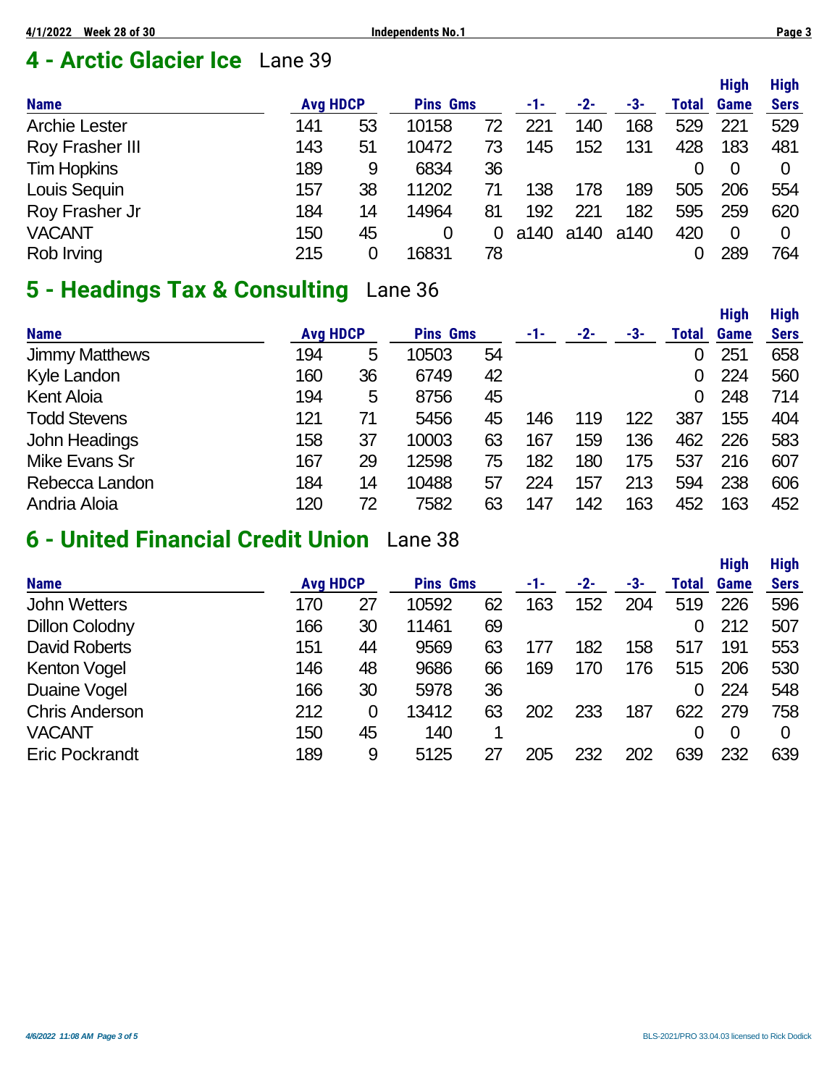# **4 - Arctic Glacier Ice** Lane 39

|                      |                 |    |                 |    |      |       |      |       | <b>High</b>    | <b>High</b> |
|----------------------|-----------------|----|-----------------|----|------|-------|------|-------|----------------|-------------|
| <b>Name</b>          | <b>Avg HDCP</b> |    | <b>Pins Gms</b> |    | -1-  | $-2-$ | -3-  | Total | <b>Game</b>    | <b>Sers</b> |
| <b>Archie Lester</b> | 141             | 53 | 10158           | 72 | 221  | 140   | 168  | 529   | 221            | 529         |
| Roy Frasher III      | 143             | 51 | 10472           | 73 | 145  | 152   | 131  | 428   | 183            | 481         |
| <b>Tim Hopkins</b>   | 189             | 9  | 6834            | 36 |      |       |      |       | 0              | 0           |
| Louis Sequin         | 157             | 38 | 11202           | 71 | 138  | 178   | 189  | 505   | 206            | 554         |
| Roy Frasher Jr       | 184             | 14 | 14964           | 81 | 192  | 221   | 182  | 595   | 259            | 620         |
| <b>VACANT</b>        | 150             | 45 | 0               | 0  | a140 | a140  | a140 | 420   | $\overline{0}$ | 0           |
| Rob Irving           | 215             | 0  | 16831           | 78 |      |       |      |       | 289            | 764         |

# **5 - Headings Tax & Consulting** Lane 36

|                       |                 |    |                 |    |             |       |     |       | <b>High</b> | <b>High</b> |
|-----------------------|-----------------|----|-----------------|----|-------------|-------|-----|-------|-------------|-------------|
| <b>Name</b>           | <b>Avg HDCP</b> |    | <b>Pins Gms</b> |    | $-1$ – $-1$ | $-2-$ | -3- | Total | Game        | <b>Sers</b> |
| <b>Jimmy Matthews</b> | 194             | 5  | 10503           | 54 |             |       |     |       | 251         | 658         |
| Kyle Landon           | 160             | 36 | 6749            | 42 |             |       |     | 0     | 224         | 560         |
| <b>Kent Aloia</b>     | 194             | 5  | 8756            | 45 |             |       |     | 0     | 248         | 714         |
| <b>Todd Stevens</b>   | 121             | 71 | 5456            | 45 | 146         | 119   | 122 | 387   | 155         | 404         |
| <b>John Headings</b>  | 158             | 37 | 10003           | 63 | 167         | 159   | 136 | 462   | 226         | 583         |
| <b>Mike Evans Sr</b>  | 167             | 29 | 12598           | 75 | 182         | 180   | 175 | 537   | 216         | 607         |
| Rebecca Landon        | 184             | 14 | 10488           | 57 | 224         | 157   | 213 | 594   | 238         | 606         |
| Andria Aloia          | 120             | 72 | 7582            | 63 | 147         | 142   | 163 | 452   | 163         | 452         |

# **6 - United Financial Credit Union** Lane 38

|     |          |                 |    |                 |       |     |       | <b>High</b>    | <b>High</b> |
|-----|----------|-----------------|----|-----------------|-------|-----|-------|----------------|-------------|
|     |          |                 |    | -1-             | $-2-$ | -3- | Total | Game           | <b>Sers</b> |
| 170 | 27       | 10592           | 62 | 163             | 152   | 204 | 519   | 226            | 596         |
| 166 | 30       | 11461           | 69 |                 |       |     |       | 212            | 507         |
| 151 | 44       | 9569            | 63 |                 | 182   | 158 | 517   | 191            | 553         |
| 146 | 48       | 9686            | 66 | 169             | 170   | 176 | 515   | 206            | 530         |
| 166 | 30       | 5978            | 36 |                 |       |     |       | 224            | 548         |
| 212 | $\Omega$ | 13412           | 63 | 202             | 233   | 187 | 622   | 279            | 758         |
| 150 | 45       | 140             |    |                 |       |     |       | $\overline{0}$ | 0           |
| 189 | 9        | 5125            |    | 205             | 232   | 202 | 639   | 232            | 639         |
|     |          | <b>Avg HDCP</b> |    | <b>Pins Gms</b> |       |     |       |                |             |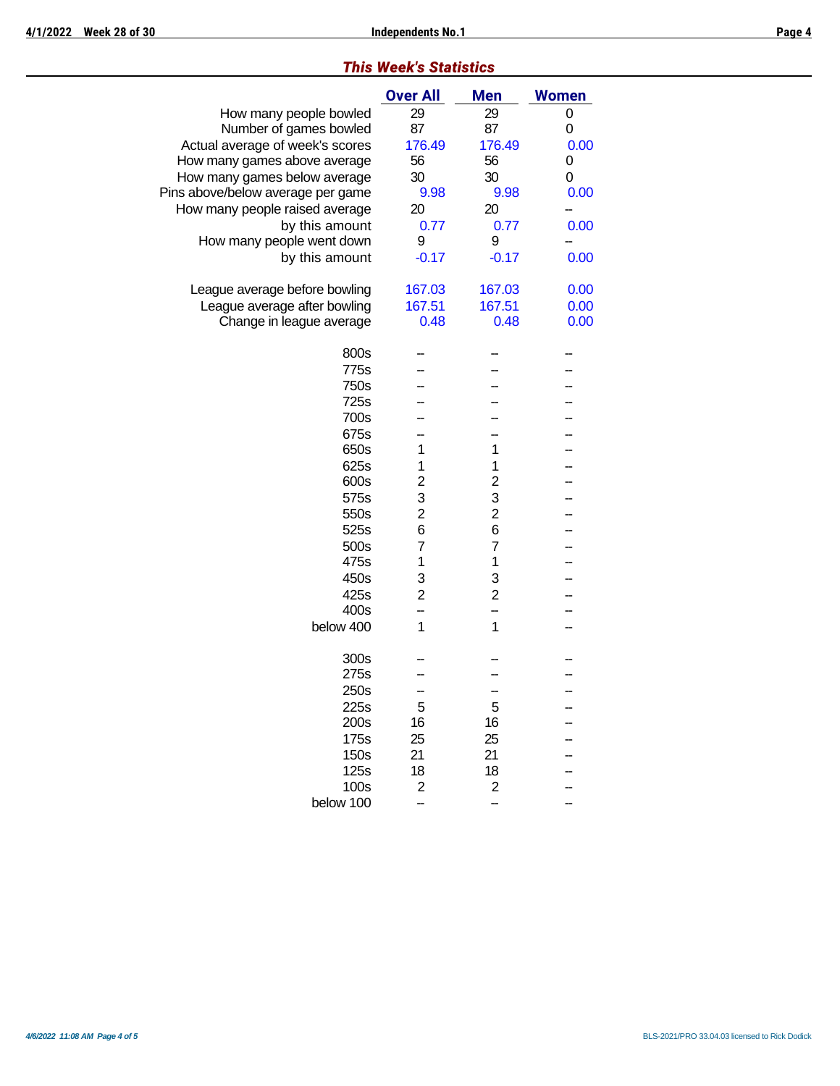#### *This Week's Statistics* **Over All Men Women** How many people bowled 29 29 0<br>Number of games bowled 87 87 0 Number of games bowled 87 Actual average of week's scores 176.49 176.49 0.00 How many games above average 56 56 56 0 How many games below average  $30$  30 30 0 Pins above/below average per game  $9.98$  9.98 0.00 How many people raised average  $20$  20  $$  by this amount 0.77 0.77 0.00 How many people went down 9 9 -by this amount  $-0.17$   $-0.17$  0.00 League average before bowling 167.03 167.03 0.00 League average after bowling 167.51 167.51 0.00 Change in league average  $0.48$  0.48  $0.00$ 800s - - - -775s – – – – 750s -- -- -- 725s -- -- -- 700s - - - -675s - - - -<br>650s 1 1 -650s 1 1 -625s 1 1 -600s 2 2 -- 575s 3 3 -<br>550s 2 2 -550s 2 2 -- 525s 6 6 –<br>500s 7 7 – 500s 7 7 -- 475s 1 1 -450s 3 3 --

425s 2 2 -- 400s - - -  $below 400 1 1 -$ 

 $300s$  - - - -275s – – – – 250s - - - -225s 5 5 -- 200s 16 16 -- 175s 25 25 -- 150s 21 21 -125s 18 18 -- 100s 2 2 below 100 -- -- --